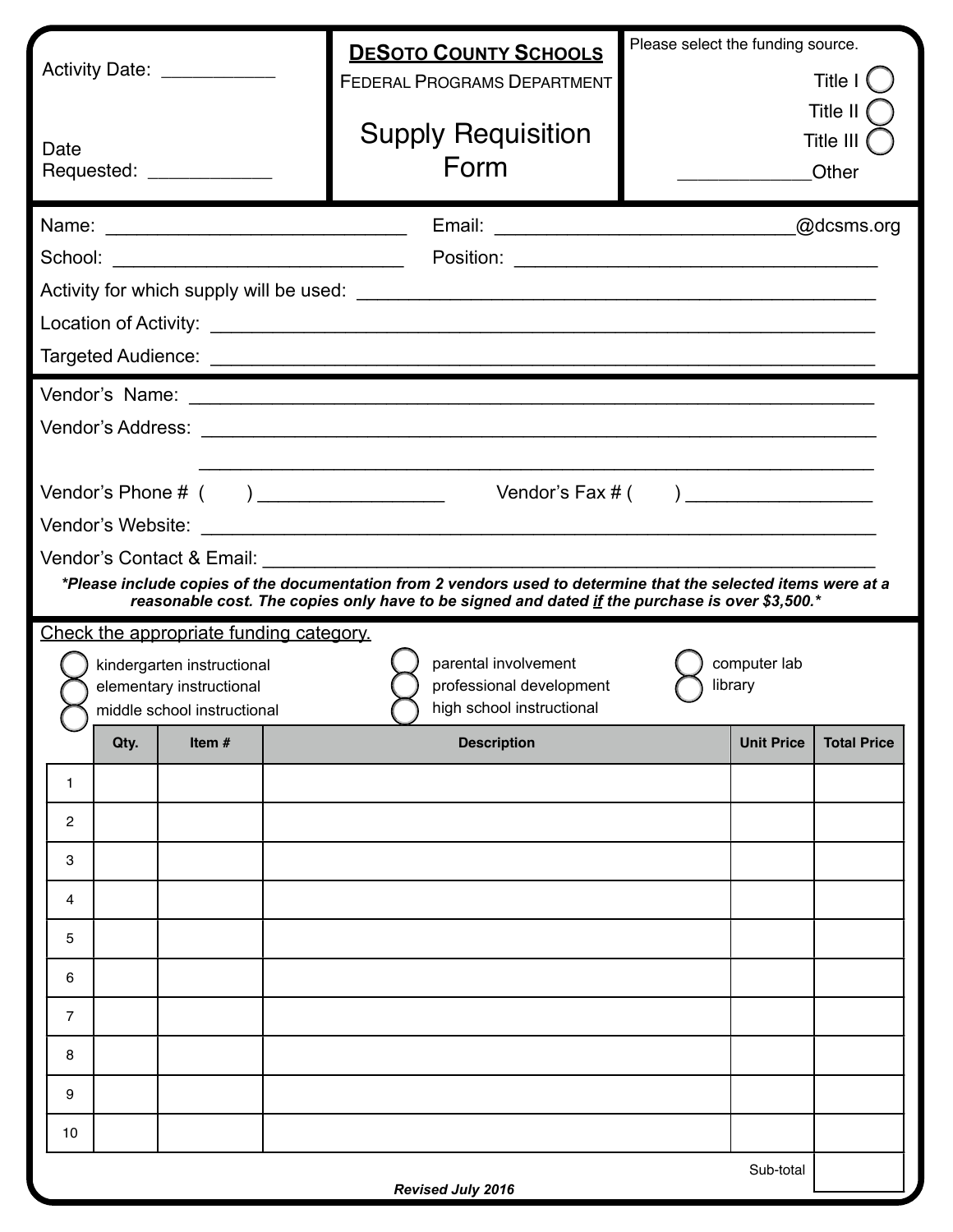| Activity Date: <u>______________</u>                                                                                                                                                                             |                                                                                                                             |                                       |  | <b>DESOTO COUNTY SCHOOLS</b><br><b>FEDERAL PROGRAMS DEPARTMENT</b> | Please select the funding source.<br>Title I (<br>Title II |                    |  |  |  |  |  |
|------------------------------------------------------------------------------------------------------------------------------------------------------------------------------------------------------------------|-----------------------------------------------------------------------------------------------------------------------------|---------------------------------------|--|--------------------------------------------------------------------|------------------------------------------------------------|--------------------|--|--|--|--|--|
| Date<br>Requested: _____________                                                                                                                                                                                 |                                                                                                                             |                                       |  | <b>Supply Requisition</b><br>Form                                  | Title III<br>Other                                         |                    |  |  |  |  |  |
| @dcsms.org                                                                                                                                                                                                       |                                                                                                                             |                                       |  |                                                                    |                                                            |                    |  |  |  |  |  |
|                                                                                                                                                                                                                  |                                                                                                                             |                                       |  |                                                                    |                                                            |                    |  |  |  |  |  |
|                                                                                                                                                                                                                  |                                                                                                                             |                                       |  |                                                                    |                                                            |                    |  |  |  |  |  |
|                                                                                                                                                                                                                  |                                                                                                                             |                                       |  |                                                                    |                                                            |                    |  |  |  |  |  |
|                                                                                                                                                                                                                  |                                                                                                                             |                                       |  |                                                                    |                                                            |                    |  |  |  |  |  |
|                                                                                                                                                                                                                  |                                                                                                                             |                                       |  |                                                                    |                                                            |                    |  |  |  |  |  |
|                                                                                                                                                                                                                  |                                                                                                                             |                                       |  |                                                                    |                                                            |                    |  |  |  |  |  |
| Vendor's $Fax \#$ ( )                                                                                                                                                                                            |                                                                                                                             |                                       |  |                                                                    |                                                            |                    |  |  |  |  |  |
|                                                                                                                                                                                                                  |                                                                                                                             |                                       |  |                                                                    |                                                            |                    |  |  |  |  |  |
|                                                                                                                                                                                                                  |                                                                                                                             |                                       |  |                                                                    |                                                            |                    |  |  |  |  |  |
| *Please include copies of the documentation from 2 vendors used to determine that the selected items were at a<br>reasonable cost. The copies only have to be signed and dated if the purchase is over \$3,500.* |                                                                                                                             |                                       |  |                                                                    |                                                            |                    |  |  |  |  |  |
| Check the appropriate funding category.                                                                                                                                                                          |                                                                                                                             |                                       |  |                                                                    |                                                            |                    |  |  |  |  |  |
| computer lab<br>parental involvement<br>kindergarten instructional                                                                                                                                               |                                                                                                                             |                                       |  |                                                                    |                                                            |                    |  |  |  |  |  |
|                                                                                                                                                                                                                  | professional development<br>library<br>elementary instructional<br>high school instructional<br>middle school instructional |                                       |  |                                                                    |                                                            |                    |  |  |  |  |  |
|                                                                                                                                                                                                                  | Qty.                                                                                                                        | Item $#$                              |  | <b>Description</b>                                                 | <b>Unit Price</b>                                          | <b>Total Price</b> |  |  |  |  |  |
| 1                                                                                                                                                                                                                |                                                                                                                             |                                       |  |                                                                    |                                                            |                    |  |  |  |  |  |
| 2                                                                                                                                                                                                                |                                                                                                                             |                                       |  |                                                                    |                                                            |                    |  |  |  |  |  |
| 3                                                                                                                                                                                                                |                                                                                                                             |                                       |  |                                                                    |                                                            |                    |  |  |  |  |  |
| 4                                                                                                                                                                                                                |                                                                                                                             |                                       |  |                                                                    |                                                            |                    |  |  |  |  |  |
| 5                                                                                                                                                                                                                |                                                                                                                             |                                       |  |                                                                    |                                                            |                    |  |  |  |  |  |
| 6                                                                                                                                                                                                                |                                                                                                                             |                                       |  |                                                                    |                                                            |                    |  |  |  |  |  |
| $\overline{7}$                                                                                                                                                                                                   |                                                                                                                             |                                       |  |                                                                    |                                                            |                    |  |  |  |  |  |
| 8                                                                                                                                                                                                                |                                                                                                                             |                                       |  |                                                                    |                                                            |                    |  |  |  |  |  |
| 9                                                                                                                                                                                                                |                                                                                                                             |                                       |  |                                                                    |                                                            |                    |  |  |  |  |  |
| 10                                                                                                                                                                                                               |                                                                                                                             |                                       |  |                                                                    |                                                            |                    |  |  |  |  |  |
|                                                                                                                                                                                                                  |                                                                                                                             | Sub-total<br><b>Revised July 2016</b> |  |                                                                    |                                                            |                    |  |  |  |  |  |